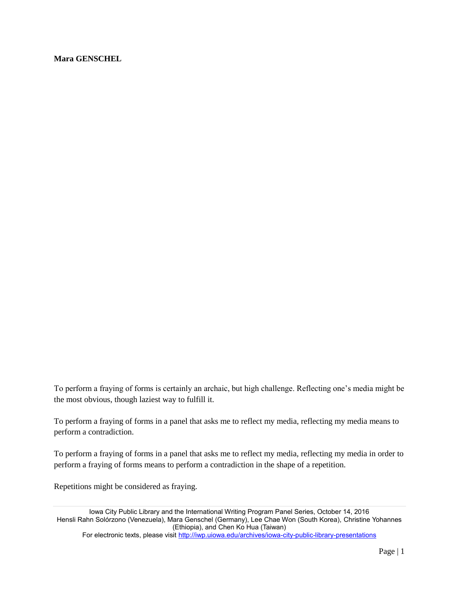**Mara GENSCHEL**

To perform a fraying of forms is certainly an archaic, but high challenge. Reflecting one's media might be the most obvious, though laziest way to fulfill it.

To perform a fraying of forms in a panel that asks me to reflect my media, reflecting my media means to perform a contradiction.

To perform a fraying of forms in a panel that asks me to reflect my media, reflecting my media in order to perform a fraying of forms means to perform a contradiction in the shape of a repetition.

Repetitions might be considered as fraying.

Iowa City Public Library and the International Writing Program Panel Series, October 14, 2016 Hensli Rahn Solórzono (Venezuela), Mara Genschel (Germany), Lee Chae Won (South Korea), Christine Yohannes (Ethiopia), and Chen Ko Hua (Taiwan) For electronic texts, please visit<http://iwp.uiowa.edu/archives/iowa-city-public-library-presentations>

Page | 1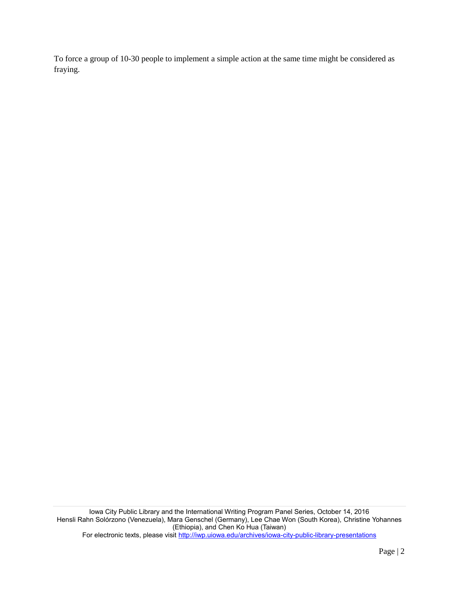To force a group of 10-30 people to implement a simple action at the same time might be considered as fraying.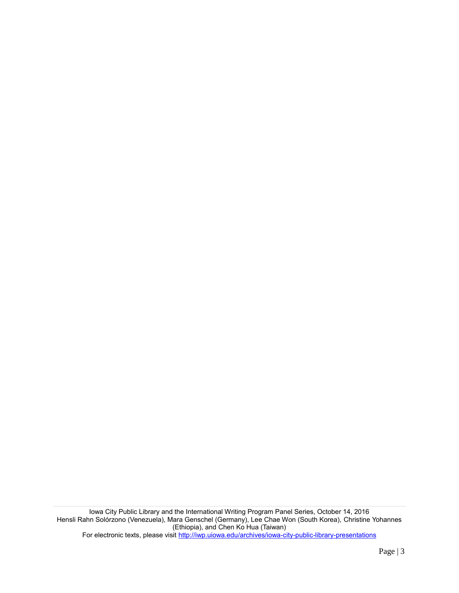Iowa City Public Library and the International Writing Program Panel Series, October 14, 2016 Hensli Rahn Solórzono (Venezuela), Mara Genschel (Germany), Lee Chae Won (South Korea), Christine Yohannes (Ethiopia), and Chen Ko Hua (Taiwan) For electronic texts, please visit<http://iwp.uiowa.edu/archives/iowa-city-public-library-presentations>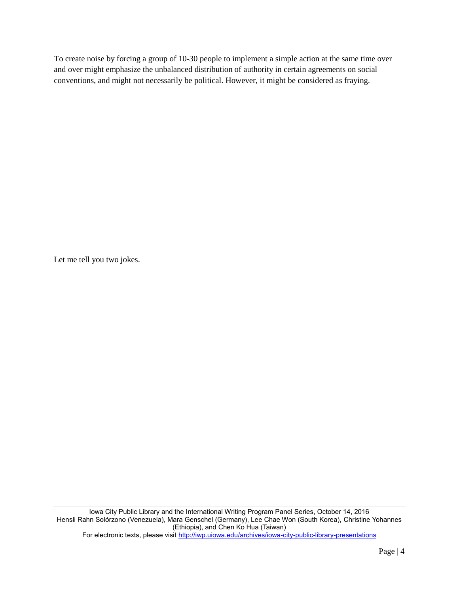To create noise by forcing a group of 10-30 people to implement a simple action at the same time over and over might emphasize the unbalanced distribution of authority in certain agreements on social conventions, and might not necessarily be political. However, it might be considered as fraying.

Let me tell you two jokes.

Iowa City Public Library and the International Writing Program Panel Series, October 14, 2016 Hensli Rahn Solórzono (Venezuela), Mara Genschel (Germany), Lee Chae Won (South Korea), Christine Yohannes (Ethiopia), and Chen Ko Hua (Taiwan) For electronic texts, please visit<http://iwp.uiowa.edu/archives/iowa-city-public-library-presentations>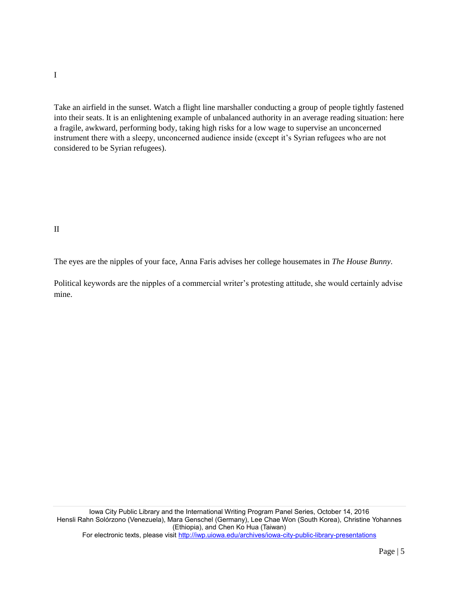Take an airfield in the sunset. Watch a flight line marshaller conducting a group of people tightly fastened into their seats. It is an enlightening example of unbalanced authority in an average reading situation: here a fragile, awkward, performing body, taking high risks for a low wage to supervise an unconcerned instrument there with a sleepy, unconcerned audience inside (except it's Syrian refugees who are not considered to be Syrian refugees).

## II

I

The eyes are the nipples of your face, Anna Faris advises her college housemates in *The House Bunny*.

Political keywords are the nipples of a commercial writer's protesting attitude, she would certainly advise mine.